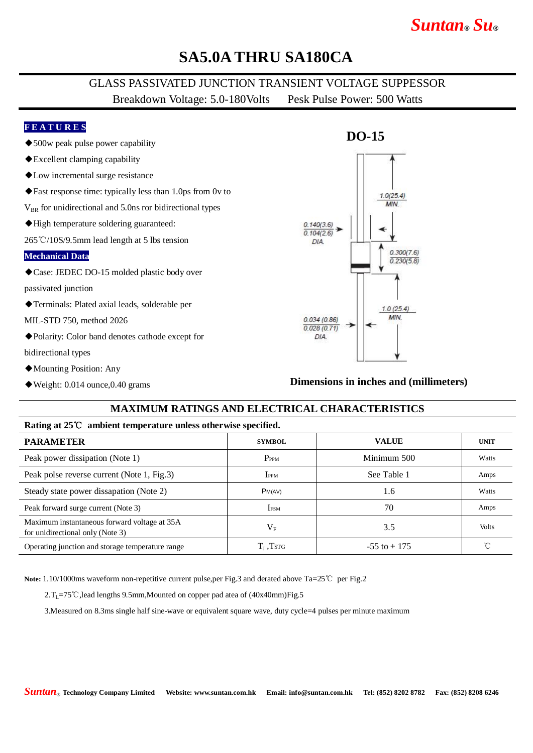# *Suntan***®** *Su***®**

### **SA5.0A THRU SA180CA**

### GLASS PASSIVATED JUNCTION TRANSIENT VOLTAGE SUPPESSOR Breakdown Voltage: 5.0-180Volts Pesk Pulse Power: 500 Watts

#### **F E A T U R E S**

- ◆500w peak pulse power capability
- ◆Excellent clamping capability
- ◆Low incremental surge resistance
- ◆Fast response time: typically less than 1.0ps from 0v to
- $V_{BR}$  for unidirectional and 5.0ns ror bidirectional types
- ◆High temperature soldering guaranteed:

265℃/10S/9.5mm lead length at 5 lbs tension

#### **Mechanical Data**

◆Case: JEDEC DO-15 molded plastic body over

passivated junction

- ◆Terminals: Plated axial leads, solderable per
- MIL-STD 750, method 2026
- ◆Polarity: Color band denotes cathode except for

bidirectional types

- ◆Mounting Position: Any
- ◆Weight: 0.014 ounce,0.40 grams

## **DO-15**  $1.0(25.4)$ **MIA**  $0.140(3.6)$  $0.104(2.6)$ DIA  $0.300(7.6)$  $0.230(5.8)$  $1.0(25.4)$ MIN  $0.034(0.86)$  $0.028(0.71)$ DIA.

**Dimensions in inches and (millimeters)**

#### **MAXIMUM RATINGS AND ELECTRICAL CHARACTERISTICS**

#### **Rating at 25**℃ **ambient temperature unless otherwise specified.**

| <b>PARAMETER</b>                                                                 | <b>SYMBOL</b>    | <b>VALUE</b>    | <b>UNIT</b>  |
|----------------------------------------------------------------------------------|------------------|-----------------|--------------|
| Peak power dissipation (Note 1)                                                  | P <sub>PPM</sub> | Minimum 500     | Watts        |
| Peak polse reverse current (Note 1, Fig.3)                                       | <b>IPPM</b>      | See Table 1     | Amps         |
| Steady state power dissapation (Note 2)                                          | PM(AV)           | 1.6             | Watts        |
| Peak forward surge current (Note 3)                                              | <b>IFSM</b>      | 70              | Amps         |
| Maximum instantaneous forward voltage at 35A<br>for unidirectional only (Note 3) | $\rm V_F$        | 3.5             | <b>Volts</b> |
| Operating junction and storage temperature range                                 | $T_{J}$ , Tstg   | $-55$ to $+175$ |              |

**Note:** 1.10/1000ms waveform non-repetitive current pulse,per Fig.3 and derated above Ta=25℃ per Fig.2

 $2.T_L=75°C$ , lead lengths 9.5mm, Mounted on copper pad atea of (40x40mm) Fig.5

3.Measured on 8.3ms single half sine-wave or equivalent square wave, duty cycle=4 pulses per minute maximum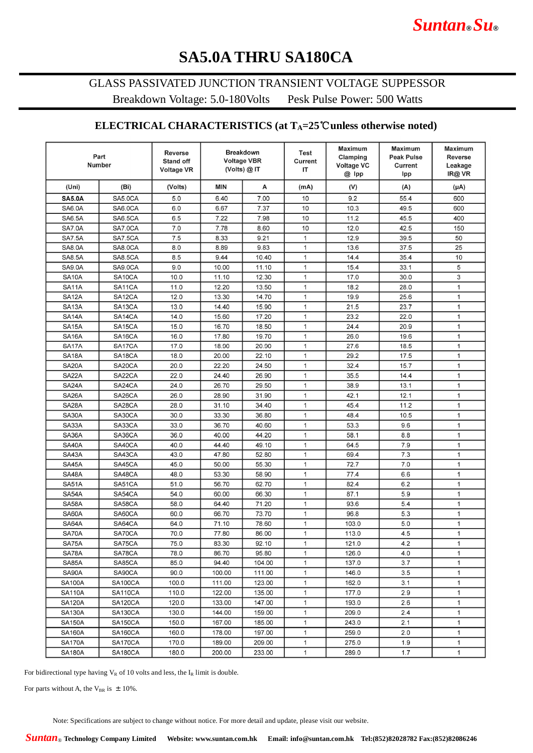# **SA5.0A THRU SA180CA**

### GLASS PASSIVATED JUNCTION TRANSIENT VOLTAGE SUPPESSOR

Breakdown Voltage: 5.0-180Volts Pesk Pulse Power: 500 Watts

### **ELECTRICAL CHARACTERISTICS (at TA=25**℃**unless otherwise noted)**

| Clamping<br><b>Voltage VBR</b><br><b>Stand off</b><br>Current<br><b>Number</b><br><b>Voltage VC</b><br>Current<br>(Volts) @ II<br>IT<br><b>Voltage VR</b><br>@ Ipp<br>Ipp | <b>Peak Pulse</b><br><b>Reverse</b><br>Leakage<br>IR@ VR |
|---------------------------------------------------------------------------------------------------------------------------------------------------------------------------|----------------------------------------------------------|
| А<br>(Uni)<br>(Bi)<br><b>MIN</b><br>(V)<br>(A)<br>(Volts)<br>(mA)                                                                                                         | $(\mu A)$                                                |
| <b>SA5.0A</b><br>SA5.0CA<br>5.0<br>6.40<br>7.00<br>10<br>9.2<br>55.4                                                                                                      | 600                                                      |
| 6.67<br>7.37<br>10<br><b>SA6.0A</b><br>SA6.0CA<br>6.0<br>10.3<br>49.5                                                                                                     | 600                                                      |
| 7.98<br>10<br>11.2<br>45.5<br><b>SA6.5A</b><br><b>SA6.5CA</b><br>6.5<br>7.22                                                                                              | 400                                                      |
| <b>SA7.0A</b><br>7.0<br>12.0<br>SA7.0CA<br>7.78<br>8.60<br>10<br>42.5                                                                                                     | 150                                                      |
| 1<br><b>SA7.5A</b><br><b>SA7.5CA</b><br>7.5<br>9.21<br>12.9<br>8.33<br>39.5                                                                                               | 50                                                       |
| $\mathbf{1}$<br><b>SA8.0A</b><br>SA8.0CA<br>8.0<br>8.89<br>9.83<br>13.6<br>37.5                                                                                           | 25                                                       |
| <b>SA8.5A</b><br><b>SA8.5CA</b><br>8.5<br>9.44<br>10.40<br>1<br>14.4<br>35.4                                                                                              | 10                                                       |
| 1<br>15.4<br><b>SA9.0A</b><br>SA9.0CA<br>9.0<br>10.00<br>11.10<br>33.1                                                                                                    | 5                                                        |
| 17.0<br><b>SA10A</b><br>SA <sub>10</sub> CA<br>10.0<br>11.10<br>12.30<br>1<br>30.0                                                                                        | 3                                                        |
| 12.20<br>$\mathbf{1}$<br>18.2<br><b>SA11A</b><br>SA11CA<br>11.0<br>13.50<br>28.0                                                                                          | $\mathbf{1}$                                             |
| 1<br>SA <sub>12</sub> A<br>SA12CA<br>12.0<br>13.30<br>14.70<br>19.9<br>25.6                                                                                               | $\mathbf{1}$                                             |
| <b>SA13A</b><br>SA13CA<br>14.40<br>15.90<br>1<br>13.0<br>21.5<br>23.7                                                                                                     | $\mathbf{1}$                                             |
| 14.0<br>15.60<br>17.20<br>1<br>23.2<br>22.0<br><b>SA14A</b><br>SA14CA                                                                                                     | $\mathbf{1}$                                             |
| 24.4<br><b>SA15A</b><br>SA <sub>15</sub> CA<br>15.0<br>16.70<br>18.50<br>1<br>20.9                                                                                        | $\mathbf{1}$                                             |
| 19.70<br>SA <sub>16</sub> A<br>SA <sub>16</sub> CA<br>16.0<br>17.80<br>1<br>26.0<br>19.6                                                                                  | $\mathbf{1}$                                             |
| SA17A<br>SA17CA<br>17.0<br>18.90<br>20.90<br>1<br>27.6<br>18.5                                                                                                            | $\mathbf{1}$                                             |
| 1<br>SA <sub>18</sub> A<br>SA <sub>18</sub> CA<br>18.0<br>20.00<br>22.10<br>29.2<br>17.5                                                                                  | $\mathbf{1}$                                             |
| <b>SA20A</b><br>SA20CA<br>20.0<br>32.4<br>22.20<br>24.50<br>1<br>15.7                                                                                                     | $\mathbf{1}$                                             |
| SA22A<br>SA22CA<br>22.0<br>24.40<br>26.90<br>1<br>35.5<br>14.4                                                                                                            | $\mathbf{1}$                                             |
| SA24A<br>26.70<br>SA24CA<br>24.0<br>29.50<br>1<br>38.9<br>13.1                                                                                                            | $\mathbf{1}$                                             |
| SA26A<br>26.0<br>SA26CA<br>28.90<br>31.90<br>1<br>42.1<br>12.1                                                                                                            | $\mathbf{1}$                                             |
| $\mathbf{1}$<br><b>SA28A</b><br>SA28CA<br>28.0<br>45.4<br>11.2<br>31.10<br>34.40                                                                                          | $\mathbf{1}$                                             |
| SA30A<br>30.0<br>$\mathbf{1}$<br>48.4<br>SA30CA<br>33.30<br>36.80<br>10.5                                                                                                 | $\mathbf{1}$                                             |
| 36.70<br>SA33A<br>SA33CA<br>33.0<br>40.60<br>$\mathbf{1}$<br>53.3<br>9.6                                                                                                  | $\mathbf{1}$                                             |
| SA36A<br>SA36CA<br>36.0<br>40.00<br>44.20<br>$\mathbf{1}$<br>58.1<br>8.8                                                                                                  | $\mathbf{1}$                                             |
| SA40A<br>SA40CA<br>40.0<br>44.40<br>49.10<br>1<br>64.5<br>7.9                                                                                                             | $\mathbf{1}$                                             |
| SA43A<br>SA43CA<br>43.0<br>47.80<br>52.80<br>1<br>69.4<br>7.3                                                                                                             | $\mathbf{1}$                                             |
| $\mathbf{1}$<br>7.0<br>SA45A<br>SA45CA<br>45.0<br>50.00<br>55.30<br>72.7                                                                                                  | $\mathbf{1}$                                             |
| SA48A<br>48.0<br>$\mathbf{1}$<br>77.4<br>6.6<br>SA48CA<br>53.30<br>58.90                                                                                                  | $\mathbf{1}$                                             |
| <b>SA51A</b><br>SA51CA<br>51.0<br>56.70<br>62.70<br>$\mathbf{1}$<br>82.4<br>6.2                                                                                           | $\mathbf{1}$                                             |
| SA54A<br>SA54CA<br>54.0<br>60.00<br>66.30<br>$\mathbf{1}$<br>87.1<br>5.9                                                                                                  | $\mathbf{1}$                                             |
| SA58A<br>SA58CA<br>58.0<br>64.40<br>71.20<br>$\mathbf{1}$<br>93.6<br>5.4<br><b>SA60A</b><br>SA60CA<br>60.0<br>66.70<br>73.70<br>$\mathbf{1}$<br>96.8<br>5.3               | $\mathbf{1}$<br>$\mathbf{1}$                             |
| SA64A<br>SA64CA<br>$\mathbf{1}$<br>103.0<br>5.0<br>64.0<br>71.10<br>78.60                                                                                                 | $\mathbf{1}$                                             |
| SA70A<br>$\mathbf{1}$<br>4.5<br>SA70CA<br>70.0<br>77.80<br>86.00<br>113.0                                                                                                 | $\mathbf{1}$                                             |
| SA75A<br>SA75CA<br>75.0<br>4.2<br>83.30<br>92.10<br>$\mathbf{1}$<br>121.0                                                                                                 | 1                                                        |
| SA78A<br>SA78CA<br>78.0<br>86.70<br>95.80<br>1<br>126.0<br>4.0                                                                                                            | 1                                                        |
| 85.0<br>3.7<br>SA85A<br>SA85CA<br>94.40<br>104.00<br>1<br>137.0                                                                                                           | 1                                                        |
| SA90A<br>SA90CA<br>90.0<br>100.00<br>1<br>146.0<br>3.5<br>111.00                                                                                                          | $\mathbf{1}$                                             |
| <b>SA100A</b><br>$\mathbf{1}$<br>162.0<br>3.1<br>SA100CA<br>100.0<br>111.00<br>123.00                                                                                     | $\mathbf{1}$                                             |
| $\mathbf{1}$<br><b>SA110A</b><br>110.0<br>122.00<br>135.00<br>177.0<br>2.9<br><b>SA110CA</b>                                                                              | $\mathbf{1}$                                             |
| 1<br><b>SA120A</b><br>SA120CA<br>120.0<br>133.00<br>147.00<br>193.0<br>2.6                                                                                                | $\mathbf{1}$                                             |
| <b>SA130A</b><br>1<br>209.0<br>SA130CA<br>130.0<br>144.00<br>159.00<br>2.4                                                                                                | $\mathbf{1}$                                             |
| <b>SA150A</b><br>150.0<br>$\mathbf{1}$<br>243.0<br>2.1<br>SA150CA<br>167.00<br>185.00                                                                                     | $\mathbf{1}$                                             |
| <b>SA160A</b><br><b>SA160CA</b><br>160.0<br>178.00<br>1<br>259.0<br>2.0<br>197.00                                                                                         | $\mathbf{1}$                                             |
| <b>SA170A</b><br>SA170CA<br>170.0<br>189.00<br>275.0<br>1.9<br>209.00<br>1                                                                                                | 1                                                        |
| <b>SA180A</b><br>180.0<br>200.00<br>1<br>289.0<br>1.7<br>SA180CA<br>233.00                                                                                                | $\mathbf{1}$                                             |

For bidirectional type having  $V_R$  of 10 volts and less, the  $I_R$  limit is double.

For parts without A, the V<sub>BR</sub> is  $\pm 10\%$ .

Note: Specifications are subject to change without notice. For more detail and update, please visit our website.